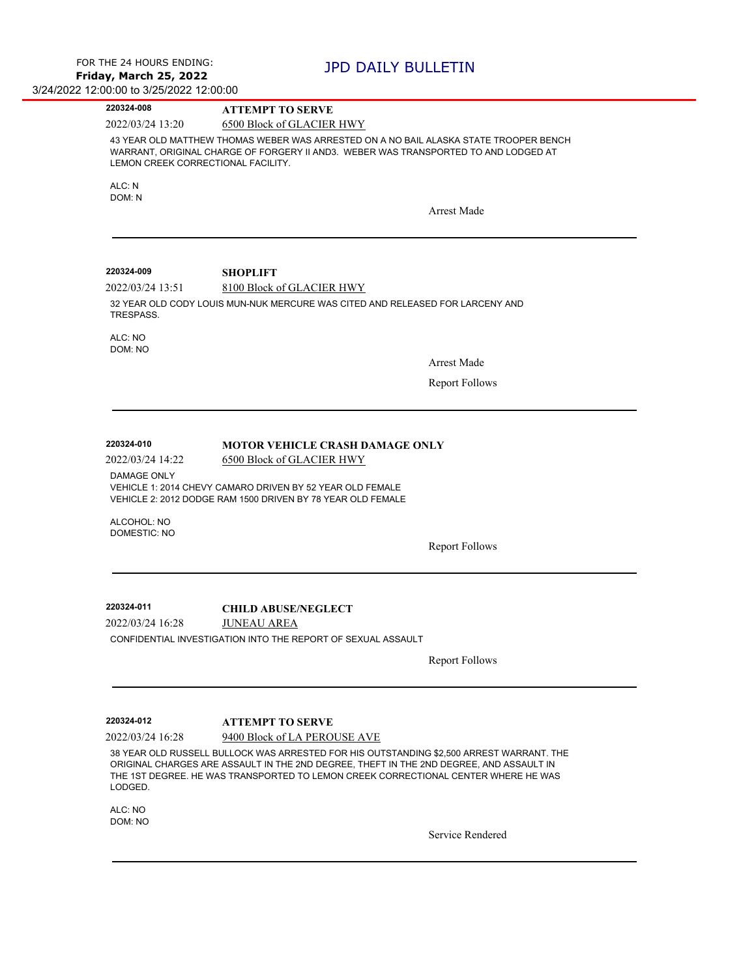$\overline{\phantom{a}}$ 

 $\overline{\phantom{0}}$ 

| 220324-008                                               | <b>ATTEMPT TO SERVE</b>                                                                                                                                                                                                                                                                                   |                       |
|----------------------------------------------------------|-----------------------------------------------------------------------------------------------------------------------------------------------------------------------------------------------------------------------------------------------------------------------------------------------------------|-----------------------|
| 2022/03/24 13:20                                         | 6500 Block of GLACIER HWY                                                                                                                                                                                                                                                                                 |                       |
| LEMON CREEK CORRECTIONAL FACILITY.                       | 43 YEAR OLD MATTHEW THOMAS WEBER WAS ARRESTED ON A NO BAIL ALASKA STATE TROOPER BENCH<br>WARRANT, ORIGINAL CHARGE OF FORGERY II AND3. WEBER WAS TRANSPORTED TO AND LODGED AT                                                                                                                              |                       |
| ALC: N                                                   |                                                                                                                                                                                                                                                                                                           |                       |
| DOM: N                                                   |                                                                                                                                                                                                                                                                                                           |                       |
|                                                          |                                                                                                                                                                                                                                                                                                           | <b>Arrest Made</b>    |
| 220324-009                                               | <b>SHOPLIFT</b>                                                                                                                                                                                                                                                                                           |                       |
| 2022/03/24 13:51                                         | 8100 Block of GLACIER HWY                                                                                                                                                                                                                                                                                 |                       |
| TRESPASS.                                                | 32 YEAR OLD CODY LOUIS MUN-NUK MERCURE WAS CITED AND RELEASED FOR LARCENY AND                                                                                                                                                                                                                             |                       |
| ALC: NO<br>DOM: NO                                       |                                                                                                                                                                                                                                                                                                           |                       |
|                                                          |                                                                                                                                                                                                                                                                                                           | <b>Arrest Made</b>    |
|                                                          |                                                                                                                                                                                                                                                                                                           | <b>Report Follows</b> |
| <b>DAMAGE ONLY</b><br>ALCOHOL: NO<br><b>DOMESTIC: NO</b> | VEHICLE 1: 2014 CHEVY CAMARO DRIVEN BY 52 YEAR OLD FEMALE<br>VEHICLE 2: 2012 DODGE RAM 1500 DRIVEN BY 78 YEAR OLD FEMALE                                                                                                                                                                                  |                       |
|                                                          |                                                                                                                                                                                                                                                                                                           | <b>Report Follows</b> |
| 220324-011                                               | <b>CHILD ABUSE/NEGLECT</b>                                                                                                                                                                                                                                                                                |                       |
| 2022/03/24 16:28                                         | <b>JUNEAU AREA</b>                                                                                                                                                                                                                                                                                        |                       |
|                                                          | CONFIDENTIAL INVESTIGATION INTO THE REPORT OF SEXUAL ASSAULT                                                                                                                                                                                                                                              |                       |
|                                                          |                                                                                                                                                                                                                                                                                                           | <b>Report Follows</b> |
|                                                          |                                                                                                                                                                                                                                                                                                           |                       |
| 220324-012                                               | <b>ATTEMPT TO SERVE</b>                                                                                                                                                                                                                                                                                   |                       |
| 2022/03/24 16:28                                         | 9400 Block of LA PEROUSE AVE<br>38 YEAR OLD RUSSELL BULLOCK WAS ARRESTED FOR HIS OUTSTANDING \$2,500 ARREST WARRANT. THE<br>ORIGINAL CHARGES ARE ASSAULT IN THE 2ND DEGREE, THEFT IN THE 2ND DEGREE, AND ASSAULT IN<br>THE 1ST DEGREE. HE WAS TRANSPORTED TO LEMON CREEK CORRECTIONAL CENTER WHERE HE WAS |                       |
| LODGED.                                                  |                                                                                                                                                                                                                                                                                                           |                       |
| ALC: NO                                                  |                                                                                                                                                                                                                                                                                                           |                       |

DOM: NO

Service Rendered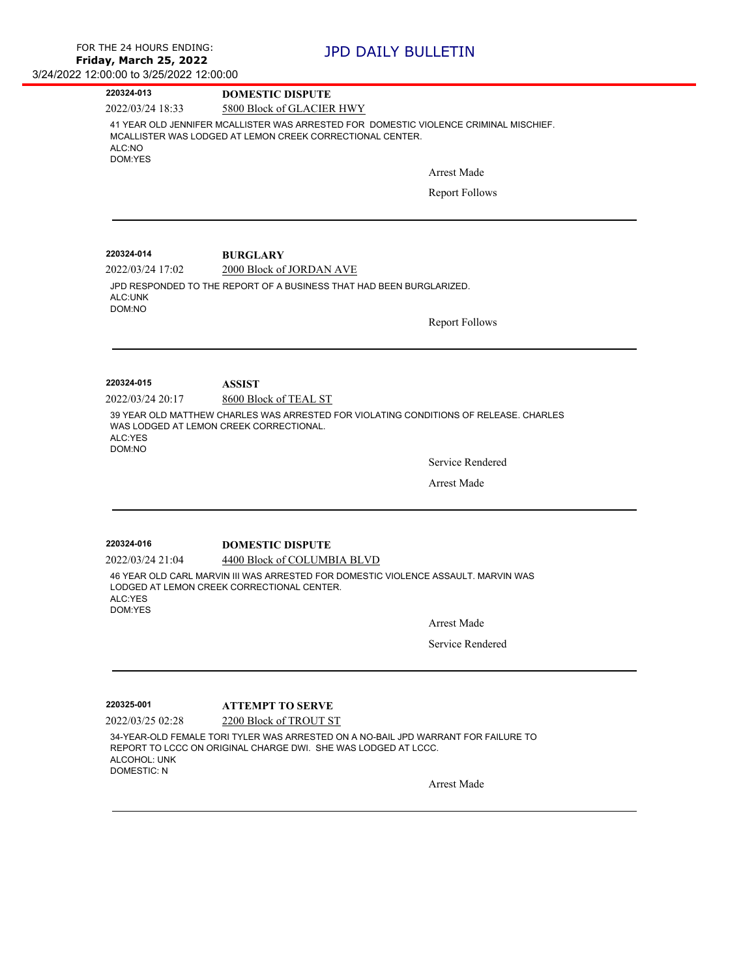| 220324-013                                                                                                                                                                                 | <b>DOMESTIC DISPUTE</b>                                                                                                          |                       |  |
|--------------------------------------------------------------------------------------------------------------------------------------------------------------------------------------------|----------------------------------------------------------------------------------------------------------------------------------|-----------------------|--|
| 2022/03/24 18:33                                                                                                                                                                           | 5800 Block of GLACIER HWY                                                                                                        |                       |  |
| 41 YEAR OLD JENNIFER MCALLISTER WAS ARRESTED FOR DOMESTIC VIOLENCE CRIMINAL MISCHIEF.<br>MCALLISTER WAS LODGED AT LEMON CREEK CORRECTIONAL CENTER.<br>ALC:NO<br>DOM:YES                    |                                                                                                                                  |                       |  |
|                                                                                                                                                                                            |                                                                                                                                  | <b>Arrest Made</b>    |  |
|                                                                                                                                                                                            |                                                                                                                                  | <b>Report Follows</b> |  |
| 220324-014                                                                                                                                                                                 | <b>BURGLARY</b>                                                                                                                  |                       |  |
| 2022/03/24 17:02                                                                                                                                                                           | 2000 Block of JORDAN AVE                                                                                                         |                       |  |
| JPD RESPONDED TO THE REPORT OF A BUSINESS THAT HAD BEEN BURGLARIZED.<br>ALC:UNK<br>DOM:NO                                                                                                  |                                                                                                                                  |                       |  |
|                                                                                                                                                                                            |                                                                                                                                  | <b>Report Follows</b> |  |
| 220324-015                                                                                                                                                                                 |                                                                                                                                  |                       |  |
| 2022/03/24 20:17                                                                                                                                                                           | <b>ASSIST</b><br>8600 Block of TEAL ST                                                                                           |                       |  |
| ALC:YES<br>DOM:NO                                                                                                                                                                          | 39 YEAR OLD MATTHEW CHARLES WAS ARRESTED FOR VIOLATING CONDITIONS OF RELEASE. CHARLES<br>WAS LODGED AT LEMON CREEK CORRECTIONAL. |                       |  |
|                                                                                                                                                                                            |                                                                                                                                  | Service Rendered      |  |
|                                                                                                                                                                                            |                                                                                                                                  | <b>Arrest Made</b>    |  |
| 220324-016                                                                                                                                                                                 | <b>DOMESTIC DISPUTE</b>                                                                                                          |                       |  |
| 2022/03/24 21:04                                                                                                                                                                           | 4400 Block of COLUMBIA BLVD                                                                                                      |                       |  |
| ALC:YES<br>DOM:YES                                                                                                                                                                         | 46 YEAR OLD CARL MARVIN III WAS ARRESTED FOR DOMESTIC VIOLENCE ASSAULT. MARVIN WAS<br>LODGED AT LEMON CREEK CORRECTIONAL CENTER. |                       |  |
|                                                                                                                                                                                            |                                                                                                                                  | <b>Arrest Made</b>    |  |
|                                                                                                                                                                                            |                                                                                                                                  | Service Rendered      |  |
|                                                                                                                                                                                            |                                                                                                                                  |                       |  |
| 220325-001                                                                                                                                                                                 | <b>ATTEMPT TO SERVE</b>                                                                                                          |                       |  |
| 2022/03/25 02:28                                                                                                                                                                           | 2200 Block of TROUT ST                                                                                                           |                       |  |
| 34-YEAR-OLD FEMALE TORI TYLER WAS ARRESTED ON A NO-BAIL JPD WARRANT FOR FAILURE TO<br>REPORT TO LCCC ON ORIGINAL CHARGE DWI. SHE WAS LODGED AT LCCC.<br>ALCOHOL: UNK<br><b>DOMESTIC: N</b> |                                                                                                                                  |                       |  |
|                                                                                                                                                                                            |                                                                                                                                  | <b>Arrest Made</b>    |  |
|                                                                                                                                                                                            |                                                                                                                                  |                       |  |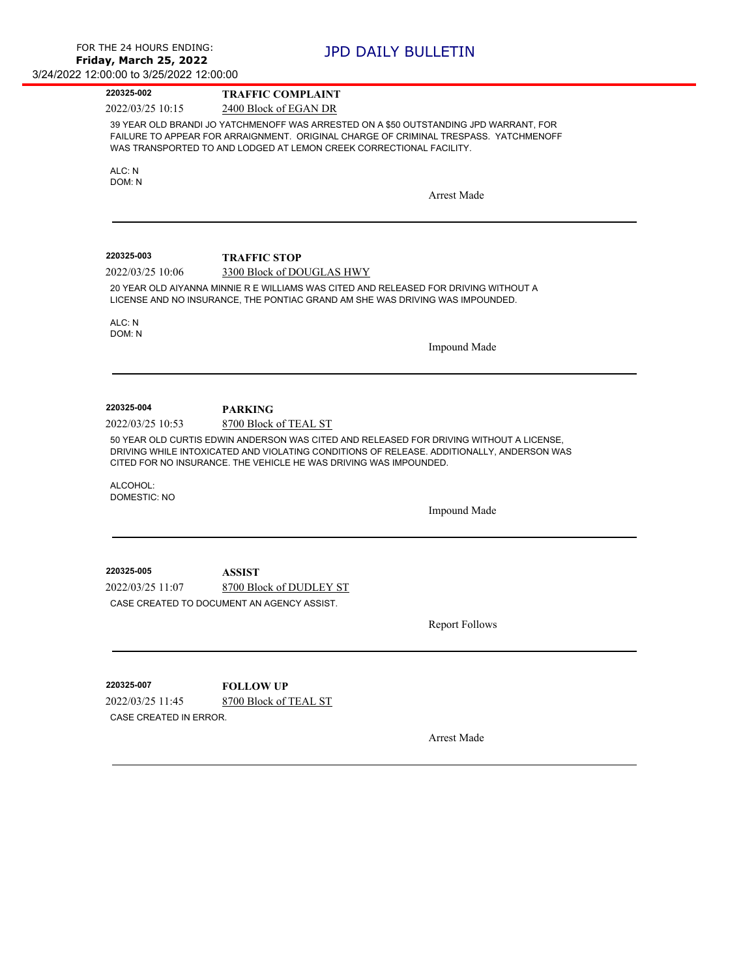| 220325-002                                          | <b>TRAFFIC COMPLAINT</b>                                                                                                                                                                                                                                                                           |
|-----------------------------------------------------|----------------------------------------------------------------------------------------------------------------------------------------------------------------------------------------------------------------------------------------------------------------------------------------------------|
| 2022/03/25 10:15                                    | 2400 Block of EGAN DR                                                                                                                                                                                                                                                                              |
|                                                     | 39 YEAR OLD BRANDI JO YATCHMENOFF WAS ARRESTED ON A \$50 OUTSTANDING JPD WARRANT, FOR<br>FAILURE TO APPEAR FOR ARRAIGNMENT. ORIGINAL CHARGE OF CRIMINAL TRESPASS. YATCHMENOFF<br>WAS TRANSPORTED TO AND LODGED AT LEMON CREEK CORRECTIONAL FACILITY.                                               |
| ALC: N                                              |                                                                                                                                                                                                                                                                                                    |
| DOM: N                                              |                                                                                                                                                                                                                                                                                                    |
|                                                     | <b>Arrest Made</b>                                                                                                                                                                                                                                                                                 |
| 220325-003                                          | <b>TRAFFIC STOP</b>                                                                                                                                                                                                                                                                                |
| 2022/03/25 10:06                                    | 3300 Block of DOUGLAS HWY                                                                                                                                                                                                                                                                          |
|                                                     | 20 YEAR OLD AIYANNA MINNIE R E WILLIAMS WAS CITED AND RELEASED FOR DRIVING WITHOUT A<br>LICENSE AND NO INSURANCE, THE PONTIAC GRAND AM SHE WAS DRIVING WAS IMPOUNDED.                                                                                                                              |
| ALC: N                                              |                                                                                                                                                                                                                                                                                                    |
| DOM: N                                              | Impound Made                                                                                                                                                                                                                                                                                       |
| 220325-004                                          | <b>PARKING</b>                                                                                                                                                                                                                                                                                     |
| 2022/03/25 10:53<br>ALCOHOL:<br><b>DOMESTIC: NO</b> | 8700 Block of TEAL ST<br>50 YEAR OLD CURTIS EDWIN ANDERSON WAS CITED AND RELEASED FOR DRIVING WITHOUT A LICENSE,<br>DRIVING WHILE INTOXICATED AND VIOLATING CONDITIONS OF RELEASE. ADDITIONALLY, ANDERSON WAS<br>CITED FOR NO INSURANCE. THE VEHICLE HE WAS DRIVING WAS IMPOUNDED.<br>Impound Made |
|                                                     |                                                                                                                                                                                                                                                                                                    |
| 220325-005                                          |                                                                                                                                                                                                                                                                                                    |
| 2022/03/25 11:07                                    | ASSIST                                                                                                                                                                                                                                                                                             |
|                                                     | 8700 Block of DUDLEY ST<br>CASE CREATED TO DOCUMENT AN AGENCY ASSIST.                                                                                                                                                                                                                              |
|                                                     |                                                                                                                                                                                                                                                                                                    |
|                                                     | <b>Report Follows</b>                                                                                                                                                                                                                                                                              |
| 220325-007                                          | <b>FOLLOW UP</b>                                                                                                                                                                                                                                                                                   |
| 2022/03/25 11:45                                    | 8700 Block of TEAL ST                                                                                                                                                                                                                                                                              |
| CASE CREATED IN ERROR.                              |                                                                                                                                                                                                                                                                                                    |
|                                                     | <b>Arrest Made</b>                                                                                                                                                                                                                                                                                 |